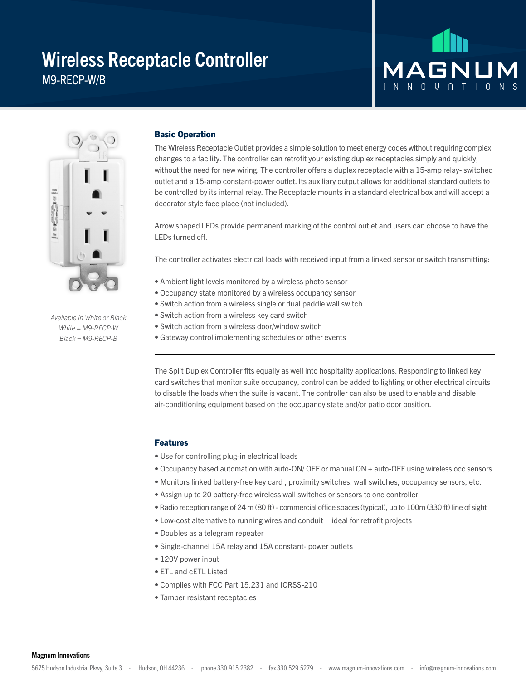## Wireless Receptacle Controller M9-RECP-W/B

# **MAGNL** NO U A T I O



*Available in White or Black White = M9-RECP-W Black = M9-RECP-B*

#### Basic Operation

The Wireless Receptacle Outlet provides a simple solution to meet energy codes without requiring complex changes to a facility. The controller can retrofit your existing duplex receptacles simply and quickly, without the need for new wiring. The controller offers a duplex receptacle with a 15-amp relay- switched outlet and a 15-amp constant-power outlet. Its auxiliary output allows for additional standard outlets to be controlled by its internal relay. The Receptacle mounts in a standard electrical box and will accept a decorator style face place (not included).

Arrow shaped LEDs provide permanent marking of the control outlet and users can choose to have the LEDs turned off.

The controller activates electrical loads with received input from a linked sensor or switch transmitting:

- Ambient light levels monitored by a wireless photo sensor
- Occupancy state monitored by a wireless occupancy sensor
- Switch action from a wireless single or dual paddle wall switch
- Switch action from a wireless key card switch
- Switch action from a wireless door/window switch
- Gateway control implementing schedules or other events

The Split Duplex Controller fits equally as well into hospitality applications. Responding to linked key card switches that monitor suite occupancy, control can be added to lighting or other electrical circuits to disable the loads when the suite is vacant. The controller can also be used to enable and disable air-conditioning equipment based on the occupancy state and/or patio door position.

#### Features

- Use for controlling plug-in electrical loads
- Occupancy based automation with auto-ON/ OFF or manual ON + auto-OFF using wireless occ sensors
- Monitors linked battery-free key card , proximity switches, wall switches, occupancy sensors, etc.
- Assign up to 20 battery-free wireless wall switches or sensors to one controller
- Radio reception range of 24 m (80 ft) commercial office spaces (typical), up to 100m (330 ft) line of sight
- Low-cost alternative to running wires and conduit ideal for retrofit projects
- Doubles as a telegram repeater
- Single-channel 15A relay and 15A constant- power outlets
- 120V power input
- ETL and cETL Listed
- Complies with FCC Part 15.231 and ICRSS-210
- Tamper resistant receptacles

Magnum Innovations